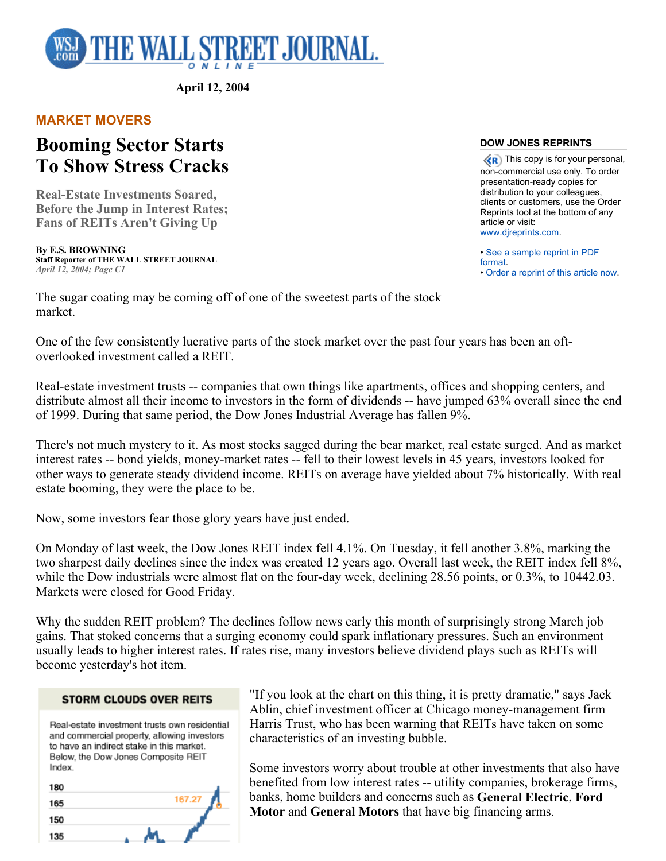

**April 12, 2004** 

## **MARKET MOVERS**

# **Booming Sector Starts To Show Stress Cracks**

**Real-Estate Investments Soared, Before the Jump in Interest Rates; Fans of REITs Aren't Giving Up** 

**By E.S. BROWNING Staff Reporter of THE WALL STREET JOURNAL** *April 12, 2004; Page C1*

#### **DOW JONES REPRINTS**

 $\langle \langle \mathbf{R} \rangle$  This copy is for your personal, non-commercial use only. To order presentation-ready copies for distribution to your colleagues, clients or customers, use the Order Reprints tool at the bottom of any article or visit: www.djreprints.com.

• See a sample reprint in PDF format. • Order a reprint of this article now.

The sugar coating may be coming off of one of the sweetest parts of the stock market.

One of the few consistently lucrative parts of the stock market over the past four years has been an oftoverlooked investment called a REIT.

Real-estate investment trusts -- companies that own things like apartments, offices and shopping centers, and distribute almost all their income to investors in the form of dividends -- have jumped 63% overall since the end of 1999. During that same period, the Dow Jones Industrial Average has fallen 9%.

There's not much mystery to it. As most stocks sagged during the bear market, real estate surged. And as market interest rates -- bond yields, money-market rates -- fell to their lowest levels in 45 years, investors looked for other ways to generate steady dividend income. REITs on average have yielded about 7% historically. With real estate booming, they were the place to be.

Now, some investors fear those glory years have just ended.

On Monday of last week, the Dow Jones REIT index fell 4.1%. On Tuesday, it fell another 3.8%, marking the two sharpest daily declines since the index was created 12 years ago. Overall last week, the REIT index fell 8%, while the Dow industrials were almost flat on the four-day week, declining 28.56 points, or 0.3%, to 10442.03. Markets were closed for Good Friday.

Why the sudden REIT problem? The declines follow news early this month of surprisingly strong March job gains. That stoked concerns that a surging economy could spark inflationary pressures. Such an environment usually leads to higher interest rates. If rates rise, many investors believe dividend plays such as REITs will become yesterday's hot item.

### **STORM CLOUDS OVER REITS**

Real-estate investment trusts own residential and commercial property, allowing investors to have an indirect stake in this market. Below, the Dow Jones Composite REIT Index

| 180 |        |
|-----|--------|
| 165 | 167.27 |
| 150 |        |
| 135 |        |

"If you look at the chart on this thing, it is pretty dramatic," says Jack Ablin, chief investment officer at Chicago money-management firm Harris Trust, who has been warning that REITs have taken on some characteristics of an investing bubble.

Some investors worry about trouble at other investments that also have benefited from low interest rates -- utility companies, brokerage firms, banks, home builders and concerns such as **General Electric**, **Ford Motor** and **General Motors** that have big financing arms.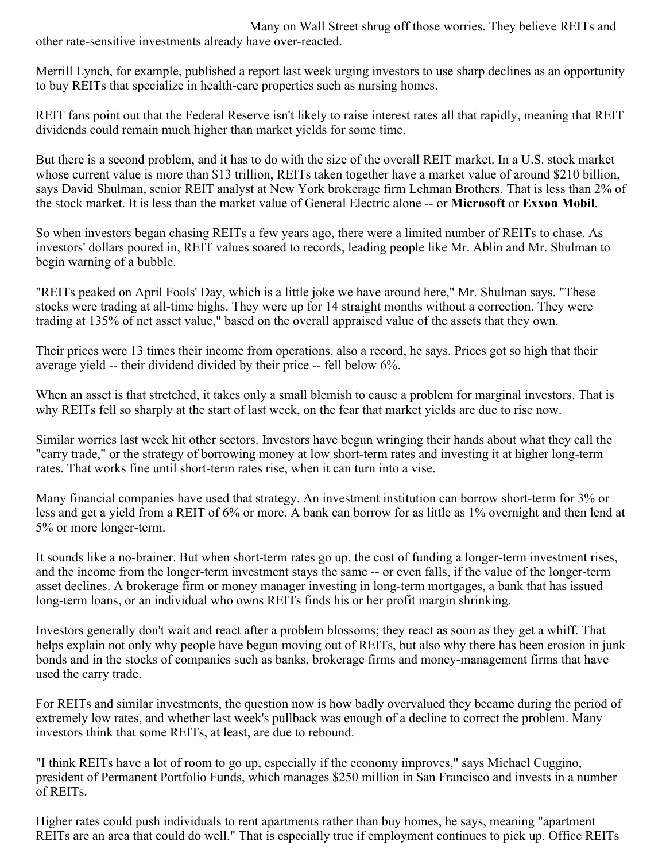Many on Wall Street shrug off those worries. They believe REITs and other rate-sensitive investments already have over-reacted.

Merrill Lynch, for example, published a report last week urging investors to use sharp declines as an opportunity to buy REITs that specialize in health-care properties such as nursing homes.

REIT fans point out that the Federal Reserve isn't likely to raise interest rates all that rapidly, meaning that REIT dividends could remain much higher than market yields for some time.

But there is a second problem, and it has to do with the size of the overall REIT market. In a U.S. stock market whose current value is more than \$13 trillion, REITs taken together have a market value of around \$210 billion, says David Shulman, senior REIT analyst at New York brokerage firm Lehman Brothers. That is less than 2% of the stock market. It is less than the market value of General Electric alone -- or **Microsoft** or **Exxon Mobil**.

So when investors began chasing REITs a few years ago, there were a limited number of REITs to chase. As investors' dollars poured in, REIT values soared to records, leading people like Mr. Ablin and Mr. Shulman to begin warning of a bubble.

"REITs peaked on April Fools' Day, which is a little joke we have around here," Mr. Shulman says. "These stocks were trading at all-time highs. They were up for 14 straight months without a correction. They were trading at 135% of net asset value," based on the overall appraised value of the assets that they own.

Their prices were 13 times their income from operations, also a record, he says. Prices got so high that their average yield -- their dividend divided by their price -- fell below 6%.

When an asset is that stretched, it takes only a small blemish to cause a problem for marginal investors. That is why REITs fell so sharply at the start of last week, on the fear that market yields are due to rise now.

Similar worries last week hit other sectors. Investors have begun wringing their hands about what they call the "carry trade," or the strategy of borrowing money at low short-term rates and investing it at higher long-term rates. That works fine until short-term rates rise, when it can turn into a vise.

Many financial companies have used that strategy. An investment institution can borrow short-term for 3% or less and get a yield from a REIT of 6% or more. A bank can borrow for as little as 1% overnight and then lend at 5% or more longer-term.

It sounds like a no-brainer. But when short-term rates go up, the cost of funding a longer-term investment rises, and the income from the longer-term investment stays the same -- or even falls, if the value of the longer-term asset declines. A brokerage firm or money manager investing in long-term mortgages, a bank that has issued long-term loans, or an individual who owns REITs finds his or her profit margin shrinking.

Investors generally don't wait and react after a problem blossoms; they react as soon as they get a whiff. That helps explain not only why people have begun moving out of REITs, but also why there has been erosion in junk bonds and in the stocks of companies such as banks, brokerage firms and money-management firms that have used the carry trade.

For REITs and similar investments, the question now is how badly overvalued they became during the period of extremely low rates, and whether last week's pullback was enough of a decline to correct the problem. Many investors think that some REITs, at least, are due to rebound.

"I think REITs have a lot of room to go up, especially if the economy improves," says Michael Cuggino, president of Permanent Portfolio Funds, which manages \$250 million in San Francisco and invests in a number of REITs.

Higher rates could push individuals to rent apartments rather than buy homes, he says, meaning "apartment REITs are an area that could do well." That is especially true if employment continues to pick up. Office REITs